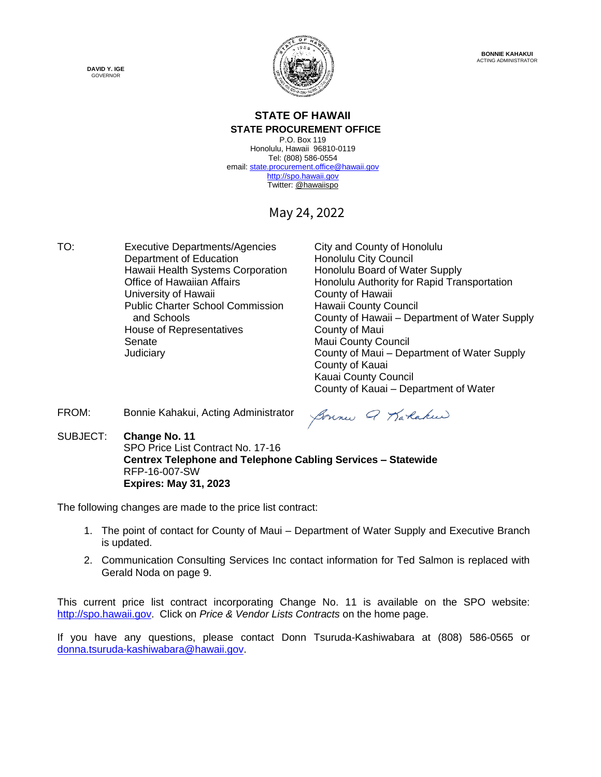

# **STATE OF HAWAII**

**STATE PROCUREMENT OFFICE** P.O. Box 119 Honolulu, Hawaii 96810-0119 Tel: (808) 586-0554 email[: state.procurement.office@hawaii.gov](mailto:state.procurement.office@hawaii.gov) [http://spo.hawaii.gov](http://spo.hawaii.gov/) Twitter: [@hawaiispo](https://twitter.com/hawaiispo)

May 24, 2022

TO: Executive Departments/Agencies City and County of Honolulu Department of Education<br>
Honolulu City Council<br>
Hawaii Health Systems Corporation Honolulu Board of Water Supply Hawaii Health Systems Corporation University of Hawaii Public Charter School Commission Hawaii County Council House of Representatives **County of Maui** Senate Maui County Council

Office of Hawaiian Affairs<br>
University of Hawaii County of Hawaii<br>
County of Hawaii and Schools County of Hawaii – Department of Water Supply Judiciary County of Maui – Department of Water Supply County of Kauai Kauai County Council County of Kauai – Department of Water

FROM: Bonnie Kahakui, Acting Administrator

Sonne Q Karlakeer

SUBJECT: **Change No. 11** SPO Price List Contract No. 17-16 **Centrex Telephone and Telephone Cabling Services – Statewide** RFP-16-007-SW **Expires: May 31, 2023**

The following changes are made to the price list contract:

- 1. The point of contact for County of Maui Department of Water Supply and Executive Branch is updated.
- 2. Communication Consulting Services Inc contact information for Ted Salmon is replaced with Gerald Noda on page 9.

This current price list contract incorporating Change No. 11 is available on the SPO website: [http://spo.hawaii.gov.](http://spo.hawaii.gov/) Click on *Price & Vendor Lists Contracts* on the home page.

If you have any questions, please contact Donn Tsuruda-Kashiwabara at (808) 586-0565 or [donna.tsuruda-kashiwabara@hawaii.gov.](mailto:donna.tsuruda-kashiwabara@hawaii.gov)

**DAVID Y. IGE** GOVERNOR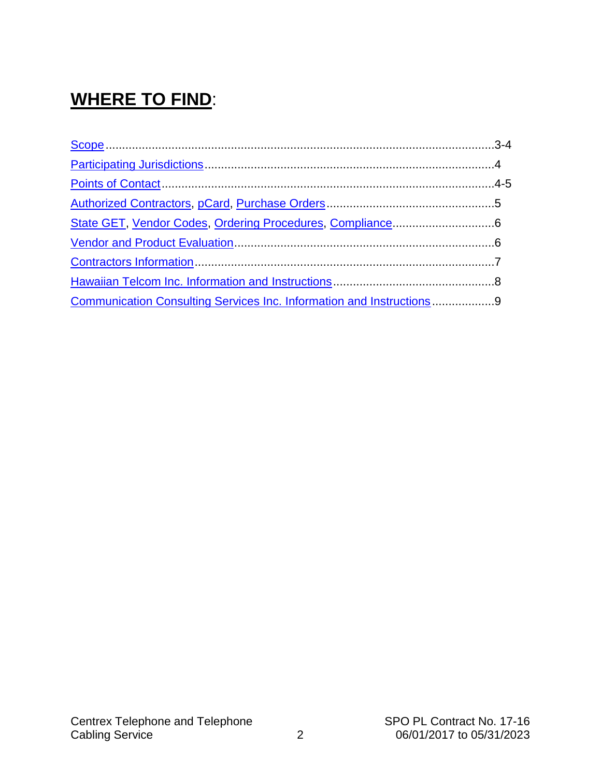# **WHERE TO FIND**:

| Communication Consulting Services Inc. Information and Instructions9 |  |
|----------------------------------------------------------------------|--|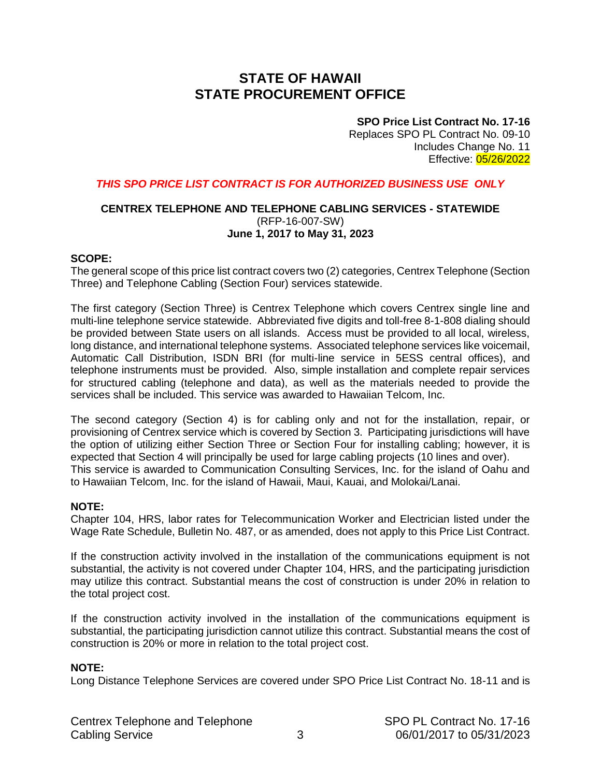# **STATE OF HAWAII STATE PROCUREMENT OFFICE**

#### **SPO Price List Contract No. 17-16**

Replaces SPO PL Contract No. 09-10 Includes Change No. 11 Effective: 05/26/2022

#### <span id="page-2-0"></span>*THIS SPO PRICE LIST CONTRACT IS FOR AUTHORIZED BUSINESS USE ONLY*

#### **CENTREX TELEPHONE AND TELEPHONE CABLING SERVICES - STATEWIDE** (RFP-16-007-SW) **June 1, 2017 to May 31, 2023**

#### **SCOPE:**

The general scope of this price list contract covers two (2) categories, Centrex Telephone (Section Three) and Telephone Cabling (Section Four) services statewide.

The first category (Section Three) is Centrex Telephone which covers Centrex single line and multi-line telephone service statewide. Abbreviated five digits and toll-free 8-1-808 dialing should be provided between State users on all islands. Access must be provided to all local, wireless, long distance, and international telephone systems. Associated telephone services like voicemail, Automatic Call Distribution, ISDN BRI (for multi-line service in 5ESS central offices), and telephone instruments must be provided. Also, simple installation and complete repair services for structured cabling (telephone and data), as well as the materials needed to provide the services shall be included. This service was awarded to Hawaiian Telcom, Inc.

The second category (Section 4) is for cabling only and not for the installation, repair, or provisioning of Centrex service which is covered by Section 3. Participating jurisdictions will have the option of utilizing either Section Three or Section Four for installing cabling; however, it is expected that Section 4 will principally be used for large cabling projects (10 lines and over). This service is awarded to Communication Consulting Services, Inc. for the island of Oahu and to Hawaiian Telcom, Inc. for the island of Hawaii, Maui, Kauai, and Molokai/Lanai.

#### **NOTE:**

Chapter 104, HRS, labor rates for Telecommunication Worker and Electrician listed under the Wage Rate Schedule, Bulletin No. 487, or as amended, does not apply to this Price List Contract.

If the construction activity involved in the installation of the communications equipment is not substantial, the activity is not covered under Chapter 104, HRS, and the participating jurisdiction may utilize this contract. Substantial means the cost of construction is under 20% in relation to the total project cost.

If the construction activity involved in the installation of the communications equipment is substantial, the participating jurisdiction cannot utilize this contract. Substantial means the cost of construction is 20% or more in relation to the total project cost.

#### **NOTE:**

Long Distance Telephone Services are covered under SPO Price List Contract No. 18-11 and is

|                        | Centrex Telephone and Telephone |  |
|------------------------|---------------------------------|--|
| <b>Cabling Service</b> |                                 |  |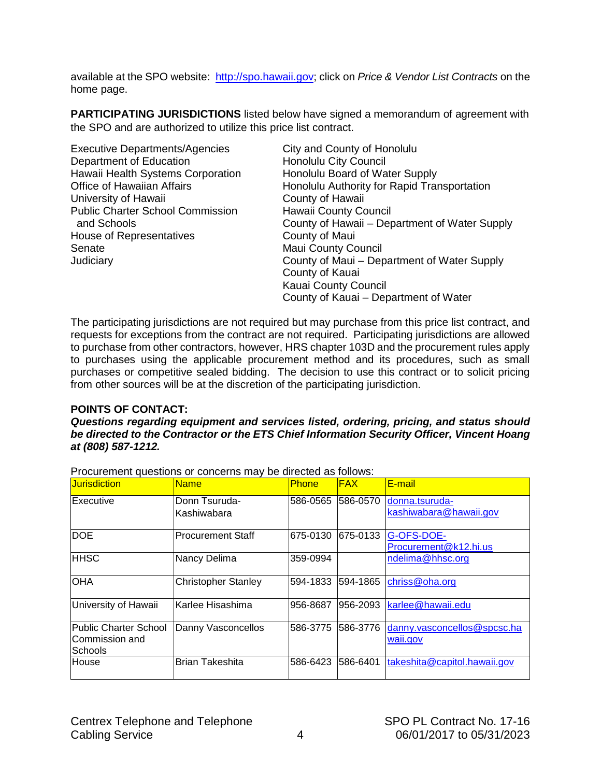<span id="page-3-0"></span>available at the SPO website: [http://spo.hawaii.gov;](http://spo.hawaii.gov/) click on *Price & Vendor List Contracts* on the home page.

**PARTICIPATING JURISDICTIONS** listed below have signed a memorandum of agreement with the SPO and are authorized to utilize this price list contract.

| <b>Executive Departments/Agencies</b>   | City and County of Honolulu                   |
|-----------------------------------------|-----------------------------------------------|
| Department of Education                 | <b>Honolulu City Council</b>                  |
| Hawaii Health Systems Corporation       | Honolulu Board of Water Supply                |
| <b>Office of Hawaiian Affairs</b>       | Honolulu Authority for Rapid Transportation   |
| University of Hawaii                    | County of Hawaii                              |
| <b>Public Charter School Commission</b> | Hawaii County Council                         |
| and Schools                             | County of Hawaii – Department of Water Supply |
| House of Representatives                | County of Maui                                |
| Senate                                  | <b>Maui County Council</b>                    |
| Judiciary                               | County of Maui – Department of Water Supply   |
|                                         | County of Kauai                               |
|                                         | Kauai County Council                          |
|                                         | County of Kauai – Department of Water         |

The participating jurisdictions are not required but may purchase from this price list contract, and requests for exceptions from the contract are not required. Participating jurisdictions are allowed to purchase from other contractors, however, HRS chapter 103D and the procurement rules apply to purchases using the applicable procurement method and its procedures, such as small purchases or competitive sealed bidding. The decision to use this contract or to solicit pricing from other sources will be at the discretion of the participating jurisdiction.

#### **POINTS OF CONTACT:**

*Questions regarding equipment and services listed, ordering, pricing, and status should be directed to the Contractor or the ETS Chief Information Security Officer, Vincent Hoang at (808) 587-1212.*

Procurement questions or concerns may be directed as follows:

| <b>Jurisdiction</b>                                       | <b>Name</b>                  | <b>Phone</b> | <b>FAX</b> | E-mail                                   |
|-----------------------------------------------------------|------------------------------|--------------|------------|------------------------------------------|
| <b>IExecutive</b>                                         | Donn Tsuruda-<br>Kashiwabara | 586-0565     | 586-0570   | donna.tsuruda-<br>kashiwabara@hawaii.gov |
| <b>DOE</b>                                                | <b>IProcurement Staff</b>    | 675-0130     | 675-0133   | G-OFS-DOE-<br>Procurement@k12.hi.us      |
| <b>HHSC</b>                                               | Nancy Delima                 | 359-0994     |            | ndelima@hhsc.org                         |
| <b>OHA</b>                                                | <b>Christopher Stanley</b>   | 594-1833     | 594-1865   | chriss@oha.org                           |
| University of Hawaii                                      | lKarlee Hisashima            | 956-8687     | 956-2093   | karlee@hawaii.edu                        |
| <b>Public Charter School</b><br>Commission and<br>Schools | Danny Vasconcellos           | 586-3775     | 586-3776   | danny.vasconcellos@spcsc.ha<br>waii.gov  |
| <b>House</b>                                              | <b>Brian Takeshita</b>       | 586-6423     | 586-6401   | takeshita@capitol.hawaii.gov             |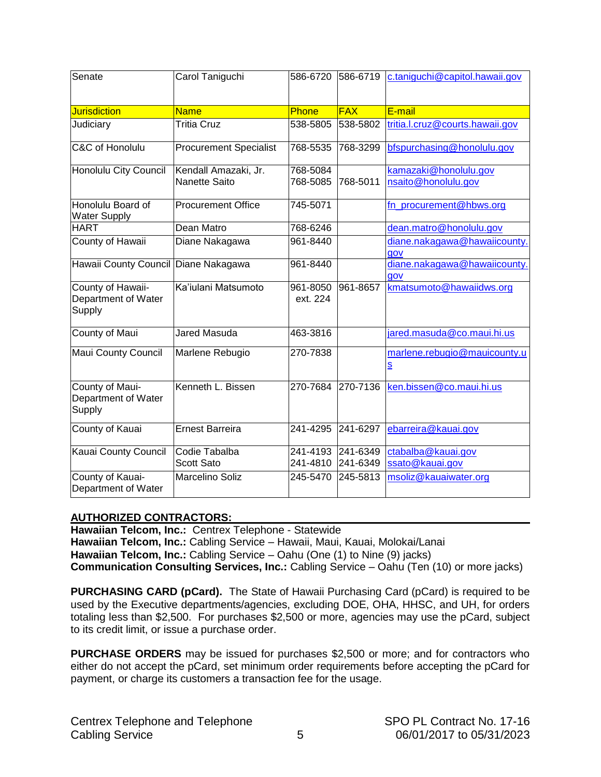<span id="page-4-0"></span>

| Senate                                             | Carol Taniguchi                       | 586-6720             | 586-6719             | c.taniguchi@capitol.hawaii.gov                           |
|----------------------------------------------------|---------------------------------------|----------------------|----------------------|----------------------------------------------------------|
| <b>Jurisdiction</b>                                | <b>Name</b>                           | <b>Phone</b>         | <b>FAX</b>           | E-mail                                                   |
| Judiciary                                          | <b>Tritia Cruz</b>                    | 538-5805             | 538-5802             | tritia.l.cruz@courts.hawaii.gov                          |
| C&C of Honolulu                                    | <b>Procurement Specialist</b>         | 768-5535             | 768-3299             | bfspurchasing@honolulu.gov                               |
| Honolulu City Council                              | Kendall Amazaki, Jr.<br>Nanette Saito | 768-5084<br>768-5085 | 768-5011             | kamazaki@honolulu.gov<br>nsaito@honolulu.gov             |
| Honolulu Board of<br><b>Water Supply</b>           | <b>Procurement Office</b>             | 745-5071             |                      | fn_procurement@hbws.org                                  |
| <b>HART</b>                                        | Dean Matro                            | 768-6246             |                      | dean.matro@honolulu.gov                                  |
| County of Hawaii                                   | Diane Nakagawa                        | 961-8440             |                      | diane.nakagawa@hawaiicounty.<br>gov                      |
| Hawaii County Council Diane Nakagawa               |                                       | 961-8440             |                      | diane.nakagawa@hawaiicounty.<br>gov                      |
| County of Hawaii-<br>Department of Water<br>Supply | Ka'iulani Matsumoto                   | 961-8050<br>ext. 224 | 961-8657             | kmatsumoto@hawaiidws.org                                 |
| County of Maui                                     | <b>Jared Masuda</b>                   | 463-3816             |                      | jared.masuda@co.maui.hi.us                               |
| <b>Maui County Council</b>                         | Marlene Rebugio                       | 270-7838             |                      | marlene.rebugio@mauicounty.u<br>$\underline{\mathbf{S}}$ |
| County of Maui-<br>Department of Water<br>Supply   | Kenneth L. Bissen                     | 270-7684             | 270-7136             | ken.bissen@co.maui.hi.us                                 |
| County of Kauai                                    | <b>Ernest Barreira</b>                | 241-4295             | 241-6297             | ebarreira@kauai.gov                                      |
| Kauai County Council                               | Codie Tabalba<br><b>Scott Sato</b>    | 241-4193<br>241-4810 | 241-6349<br>241-6349 | ctabalba@kauai.gov<br>ssato@kauai.gov                    |
| County of Kauai-<br>Department of Water            | Marcelino Soliz                       | 245-5470             | 245-5813             | msoliz@kauaiwater.org                                    |

#### **AUTHORIZED CONTRACTORS:**

**Hawaiian Telcom, Inc.:** Centrex Telephone - Statewide **Hawaiian Telcom, Inc.:** Cabling Service – Hawaii, Maui, Kauai, Molokai/Lanai **Hawaiian Telcom, Inc.:** Cabling Service – Oahu (One (1) to Nine (9) jacks) **Communication Consulting Services, Inc.:** Cabling Service – Oahu (Ten (10) or more jacks)

**PURCHASING CARD (pCard).** The State of Hawaii Purchasing Card (pCard) is required to be used by the Executive departments/agencies, excluding DOE, OHA, HHSC, and UH, for orders totaling less than \$2,500. For purchases \$2,500 or more, agencies may use the pCard, subject to its credit limit, or issue a purchase order.

**PURCHASE ORDERS** may be issued for purchases \$2,500 or more; and for contractors who either do not accept the pCard, set minimum order requirements before accepting the pCard for payment, or charge its customers a transaction fee for the usage.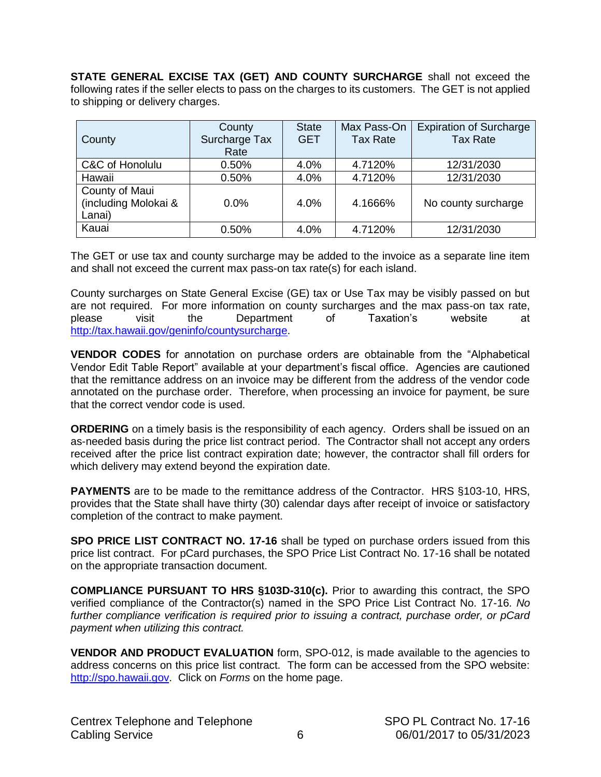<span id="page-5-0"></span>**STATE GENERAL EXCISE TAX (GET) AND COUNTY SURCHARGE** shall not exceed the following rates if the seller elects to pass on the charges to its customers. The GET is not applied to shipping or delivery charges.

| County                                           | County<br>Surcharge Tax<br>Rate | <b>State</b><br><b>GET</b> | Max Pass-On<br><b>Tax Rate</b> | <b>Expiration of Surcharge</b><br><b>Tax Rate</b> |
|--------------------------------------------------|---------------------------------|----------------------------|--------------------------------|---------------------------------------------------|
| C&C of Honolulu                                  | 0.50%                           | 4.0%                       | 4.7120%                        | 12/31/2030                                        |
| Hawaii                                           | 0.50%                           | 4.0%                       | 4.7120%                        | 12/31/2030                                        |
| County of Maui<br>(including Molokai &<br>Lanai) | $0.0\%$                         | 4.0%                       | 4.1666%                        | No county surcharge                               |
| Kauai                                            | 0.50%                           | 4.0%                       | 4.7120%                        | 12/31/2030                                        |

The GET or use tax and county surcharge may be added to the invoice as a separate line item and shall not exceed the current max pass-on tax rate(s) for each island.

County surcharges on State General Excise (GE) tax or Use Tax may be visibly passed on but are not required. For more information on county surcharges and the max pass-on tax rate, please visit the Department of Taxation's website at [http://tax.hawaii.gov/geninfo/countysurcharge.](http://tax.hawaii.gov/geninfo/countysurcharge)

**VENDOR CODES** for annotation on purchase orders are obtainable from the "Alphabetical Vendor Edit Table Report" available at your department's fiscal office. Agencies are cautioned that the remittance address on an invoice may be different from the address of the vendor code annotated on the purchase order. Therefore, when processing an invoice for payment, be sure that the correct vendor code is used.

**ORDERING** on a timely basis is the responsibility of each agency. Orders shall be issued on an as-needed basis during the price list contract period. The Contractor shall not accept any orders received after the price list contract expiration date; however, the contractor shall fill orders for which delivery may extend beyond the expiration date.

**PAYMENTS** are to be made to the remittance address of the Contractor. HRS §103-10, HRS, provides that the State shall have thirty (30) calendar days after receipt of invoice or satisfactory completion of the contract to make payment.

**SPO PRICE LIST CONTRACT NO. 17-16** shall be typed on purchase orders issued from this price list contract. For pCard purchases, the SPO Price List Contract No. 17-16 shall be notated on the appropriate transaction document.

**COMPLIANCE PURSUANT TO HRS §103D-310(c).** Prior to awarding this contract, the SPO verified compliance of the Contractor(s) named in the SPO Price List Contract No. 17-16. *No further compliance verification is required prior to issuing a contract, purchase order, or pCard payment when utilizing this contract.*

**VENDOR AND PRODUCT EVALUATION** form, SPO-012, is made available to the agencies to address concerns on this price list contract. The form can be accessed from the SPO website: [http://spo.hawaii.gov.](http://spo.hawaii.gov/) Click on *Forms* on the home page.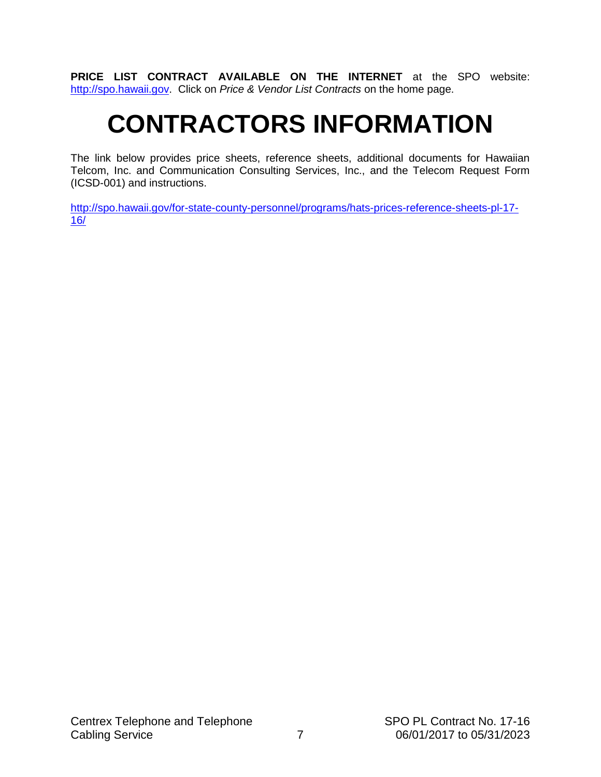<span id="page-6-0"></span>**PRICE LIST CONTRACT AVAILABLE ON THE INTERNET** at the SPO website: [http://spo.hawaii.gov.](http://spo.hawaii.gov/) Click on *Price & Vendor List Contracts* on the home page.

# **CONTRACTORS INFORMATION**

The link below provides price sheets, reference sheets, additional documents for Hawaiian Telcom, Inc. and Communication Consulting Services, Inc., and the Telecom Request Form (ICSD-001) and instructions.

[http://spo.hawaii.gov/for-state-county-personnel/programs/hats-prices-reference-sheets-pl-17-](http://spo.hawaii.gov/for-state-county-personnel/programs/hats-prices-reference-sheets-pl-17-16/) [16/](http://spo.hawaii.gov/for-state-county-personnel/programs/hats-prices-reference-sheets-pl-17-16/)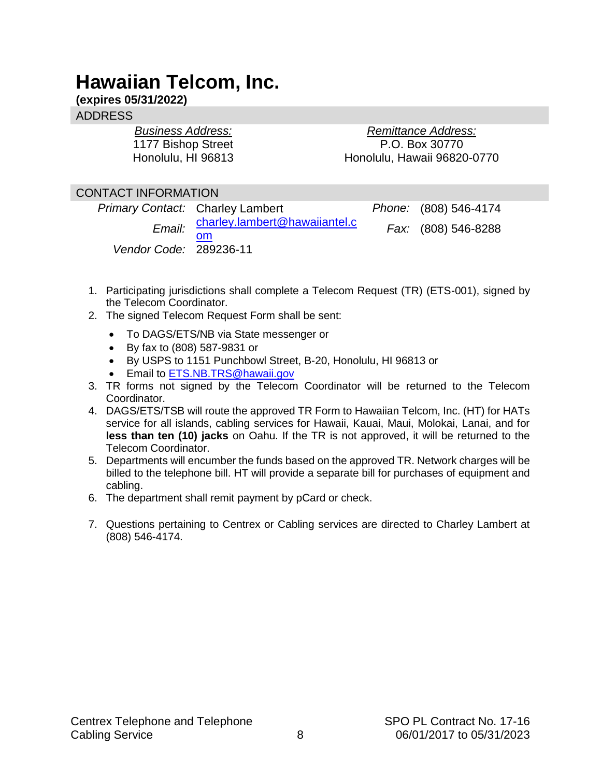# <span id="page-7-0"></span>**Hawaiian Telcom, Inc.**

# **(expires 05/31/2022)**

### ADDRESS

*Business Address:* 1177 Bishop Street Honolulu, HI 96813

*Remittance Address:* P.O. Box 30770 Honolulu, Hawaii 96820-0770

### CONTACT INFORMATION

|                        | <b>Primary Contact: Charley Lambert</b>    | Phone: (808) 546-4174 |
|------------------------|--------------------------------------------|-----------------------|
|                        | Email: charley.lambert@hawaiiantel.c<br>om | Fax: (808) 546-8288   |
| Vendor Code: 289236-11 |                                            |                       |

- 1. Participating jurisdictions shall complete a Telecom Request (TR) (ETS-001), signed by the Telecom Coordinator.
- 2. The signed Telecom Request Form shall be sent:
	- To DAGS/ETS/NB via State messenger or
	- By fax to (808) 587-9831 or
	- By USPS to 1151 Punchbowl Street, B-20, Honolulu, HI 96813 or
	- **Email to [ETS.NB.TRS@hawaii.gov](mailto:ETS.NB.TRS@hawaii.gov)**
- 3. TR forms not signed by the Telecom Coordinator will be returned to the Telecom Coordinator.
- 4. DAGS/ETS/TSB will route the approved TR Form to Hawaiian Telcom, Inc. (HT) for HATs service for all islands, cabling services for Hawaii, Kauai, Maui, Molokai, Lanai, and for **less than ten (10) jacks** on Oahu. If the TR is not approved, it will be returned to the Telecom Coordinator.
- 5. Departments will encumber the funds based on the approved TR. Network charges will be billed to the telephone bill. HT will provide a separate bill for purchases of equipment and cabling.
- 6. The department shall remit payment by pCard or check.
- 7. Questions pertaining to Centrex or Cabling services are directed to Charley Lambert at (808) 546-4174.